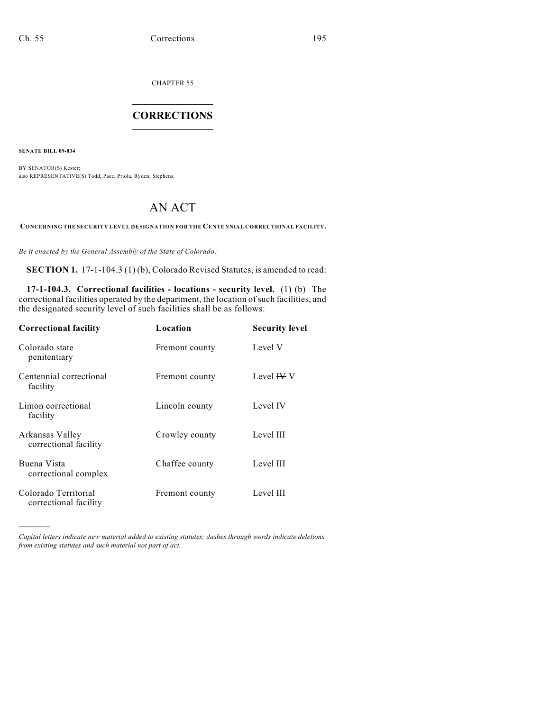CHAPTER 55

## $\mathcal{L}_\text{max}$  . The set of the set of the set of the set of the set of the set of the set of the set of the set of the set of the set of the set of the set of the set of the set of the set of the set of the set of the set **CORRECTIONS**  $\frac{1}{2}$  ,  $\frac{1}{2}$  ,  $\frac{1}{2}$  ,  $\frac{1}{2}$  ,  $\frac{1}{2}$  ,  $\frac{1}{2}$

**SENATE BILL 09-034**

)))))

BY SENATOR(S) Kester; also REPRESENTATIVE(S) Todd, Pace, Priola, Ryden, Stephens.

## AN ACT

**CONCERNING THE SECURITY LEVEL DESIGNATION FOR THE CENTENNIAL CORRECTIONAL FACILITY.**

*Be it enacted by the General Assembly of the State of Colorado:*

**SECTION 1.** 17-1-104.3 (1) (b), Colorado Revised Statutes, is amended to read:

**17-1-104.3. Correctional facilities - locations - security level.** (1) (b) The correctional facilities operated by the department, the location of such facilities, and the designated security level of such facilities shall be as follows:

| <b>Correctional facility</b>                  | Location       | <b>Security level</b> |
|-----------------------------------------------|----------------|-----------------------|
| Colorado state<br>penitentiary                | Fremont county | Level V               |
| Centennial correctional<br>facility           | Fremont county | Level $\bf{H}$ V      |
| Limon correctional<br>facility                | Lincoln county | Level IV              |
| Arkansas Valley<br>correctional facility      | Crowley county | Level III             |
| Buena Vista<br>correctional complex           | Chaffee county | Level III             |
| Colorado Territorial<br>correctional facility | Fremont county | Level III             |

*Capital letters indicate new material added to existing statutes; dashes through words indicate deletions from existing statutes and such material not part of act.*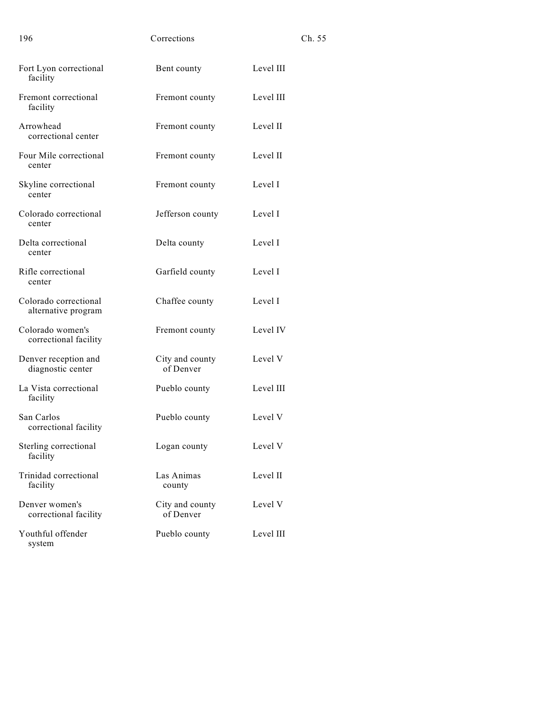| 196                                          | Corrections                  | Ch. 55    |
|----------------------------------------------|------------------------------|-----------|
| Fort Lyon correctional<br>facility           | Bent county                  | Level III |
| Fremont correctional<br>facility             | Fremont county               | Level III |
| Arrowhead<br>correctional center             | Fremont county               | Level II  |
| Four Mile correctional<br>center             | Fremont county               | Level II  |
| Skyline correctional<br>center               | Fremont county               | Level I   |
| Colorado correctional<br>center              | Jefferson county             | Level I   |
| Delta correctional<br>center                 | Delta county                 | Level I   |
| Rifle correctional<br>center                 | Garfield county              | Level I   |
| Colorado correctional<br>alternative program | Chaffee county               | Level I   |
| Colorado women's<br>correctional facility    | Fremont county               | Level IV  |
| Denver reception and<br>diagnostic center    | City and county<br>of Denver | Level V   |
| La Vista correctional<br>facility            | Pueblo county                | Level III |
| San Carlos<br>correctional facility          | Pueblo county                | Level V   |
| Sterling correctional<br>facility            | Logan county                 | Level V   |
| Trinidad correctional<br>facility            | Las Animas<br>county         | Level II  |
| Denver women's<br>correctional facility      | City and county<br>of Denver | Level V   |
| Youthful offender<br>system                  | Pueblo county                | Level III |